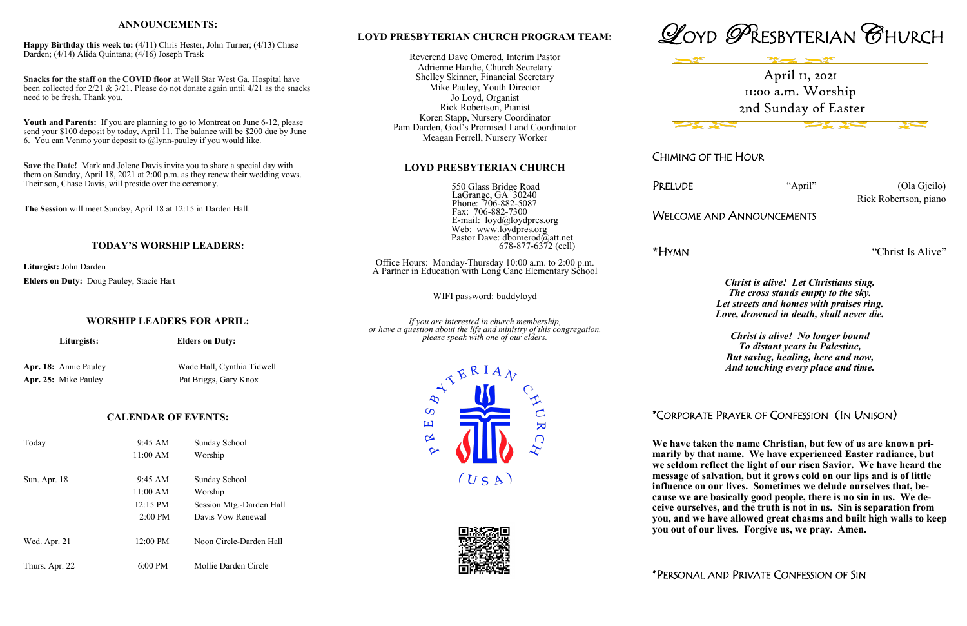### **LOYD PRESBYTERIAN CHURCH PROGRAM TEAM:**

Reverend Dave Omerod, Interim Pastor Adrienne Hardie, Church Secretary Shelley Skinner, Financial Secretary Mike Pauley, Youth Director Jo Loyd, Organist Rick Robertson, Pianist Koren Stapp, Nursery Coordinator Pam Darden, God's Promised Land Coordinator Meagan Ferrell, Nursery Worker

#### **LOYD PRESBYTERIAN CHURCH**

 550 Glass Bridge Road LaGrange, GA<sup> $30240$ </sup> Phone: 706-882-5087 Fax: 706-882-7300 E-mail: loyd@loydpres.org Web: www.loydpres.org Pastor Dave: dbomerod@att.net 678-877-6372 (cell) PRELUDE "April" (Ola Gjeilo) Rick Robertson, piano

Office Hours: Monday-Thursday 10:00 a.m. to 2:00 p.m. A Partner in Education with Long Cane Elementary School

WIFI password: buddyloyd

*If you are interested in church membership, or have a question about the life and ministry of this congregation, please speak with one of our elders.*





CHIMING OF THE HOUR

### WELCOME AND ANNOUNCEMENTS

**\***HYMN "Christ Is Alive"

*Christ is alive! Let Christians sing. The cross stands empty to the sky. Let streets and homes with praises ring. Love, drowned in death, shall never die.*

*Christ is alive! No longer bound To distant years in Palestine, But saving, healing, here and now, And touching every place and time.*

# \*CORPORATE PRAYER OF CONFESSION (IN UNISON)

**We have taken the name Christian, but few of us are known primarily by that name. We have experienced Easter radiance, but we seldom reflect the light of our risen Savior. We have heard the message of salvation, but it grows cold on our lips and is of little influence on our lives. Sometimes we delude ourselves that, because we are basically good people, there is no sin in us. We deceive ourselves, and the truth is not in us. Sin is separation from you, and we have allowed great chasms and built high walls to keep you out of our lives. Forgive us, we pray. Amen.**

\*PERSONAL AND PRIVATE CONFESSION OF SIN

#### **ANNOUNCEMENTS:**

**Happy Birthday this week to:** (4/11) Chris Hester, John Turner; (4/13) Chase Darden; (4/14) Alida Quintana; (4/16) Joseph Trask

**Snacks for the staff on the COVID floor** at Well Star West Ga. Hospital have been collected for 2/21 & 3/21. Please do not donate again until 4/21 as the snacks need to be fresh. Thank you.

**Youth and Parents:** If you are planning to go to Montreat on June 6-12, please send your \$100 deposit by today, April 11. The balance will be \$200 due by June 6. You can Venmo your deposit to @lynn-pauley if you would like.

**Save the Date!** Mark and Jolene Davis invite you to share a special day with them on Sunday, April 18, 2021 at 2:00 p.m. as they renew their wedding vows. Their son, Chase Davis, will preside over the ceremony.

**The Session** will meet Sunday, April 18 at 12:15 in Darden Hall.

### **TODAY'S WORSHIP LEADERS:**

**Liturgist:** John Darden **Elders on Duty:** Doug Pauley, Stacie Hart

**WORSHIP LEADERS FOR APRIL:**

*Liturgists:* Elders on Duty:

Apr. 18: Annie Pauley Wade Hall, Cynthia Tidwell Apr. 25: Mike Pauley Pat Briggs, Gary Knox



| Today          | 9:45 AM            | Sunday School            |
|----------------|--------------------|--------------------------|
|                | 11:00 AM           | Worship                  |
| Sun. Apr. 18   | 9:45 AM            | Sunday School            |
|                | 11:00 AM           | Worship                  |
|                | $12:15 \text{ PM}$ | Session Mtg.-Darden Hall |
|                | $2:00 \text{ PM}$  | Davis Vow Renewal        |
| Wed. Apr. 21   | 12:00 PM           | Noon Circle-Darden Hall  |
| Thurs. Apr. 22 | $6:00 \text{ PM}$  | Mollie Darden Circle     |



 $\infty$  $\overline{\mathbf{H}}$ 

 $\overline{\mathbf{C}}$ 

**AU** 

 $\mathbf{K}$ 

 $\bigcap$ 



 $(USA)$ 

April 11, 2021 11:00 a.m. Worship 2nd Sunday of Easter